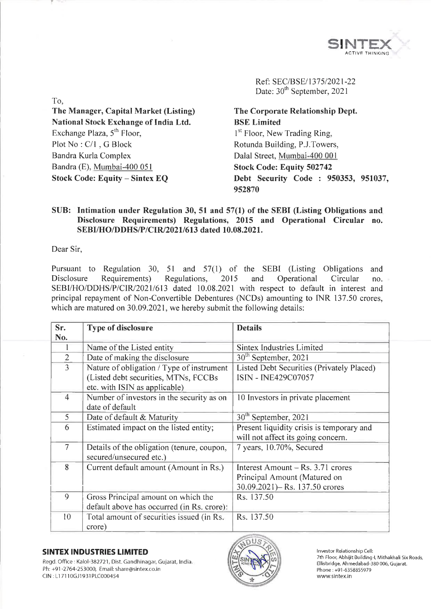

Ref: SEC/BSE/1375/2021-22 Date: 30<sup>th</sup> September, 2021

**The Manager, Capital Market (Listing) National Stock Exchange of India Ltd.** Exchange Plaza,  $5<sup>th</sup>$  Floor, Plot No : C/l , G Block Bandra Kurla Complex Bandra (E), Mumbai-400 051 **Stock Code: Equity - Sintex EQ**

**The Corporate Relationship Dept. BSE Limited** <sup>1st</sup> Floor, New Trading Ring, Rotunda Building, P.J.Towers, Dalai Street, Mumbai-400 001 **Stock Code: Equity 502742 Debt Security Code : 950353, 951037, 952870**

## **SUB: Intimation under Regulation 30, 51 and 57(1) of the SEBI (Listing Obligations and Disclosure Requirements) Regulations, 2015 and Operational Circular no. SEBI/HO/DDHS/P/CIR/2021/613 dated 10.08.2021.**

Dear Sir,

To,

Pursuant to Regulation 30, 51 and 57(1) of the SEBI (Listing Obligations and Disclosure Requirements) Regulations, 2015 and Operational Circular no. SEBI/HO/DDHS/P/CIR/2021/613 dated 10.08.2021 with respect to default in interest and principal repayment of Non-Convertible Debentures (NCDs) amounting to INR 137.50 crores, which are matured on 30.09.2021, we hereby submit the following details:

| Sr.<br>No.     | <b>Type of disclosure</b>                                                                                          | <b>Details</b>                                                                                        |
|----------------|--------------------------------------------------------------------------------------------------------------------|-------------------------------------------------------------------------------------------------------|
|                | Name of the Listed entity                                                                                          | <b>Sintex Industries Limited</b>                                                                      |
| $\overline{2}$ | Date of making the disclosure                                                                                      | 30th September, 2021                                                                                  |
| 3              | Nature of obligation / Type of instrument<br>(Listed debt securities, MTNs, FCCBs<br>etc. with ISIN as applicable) | Listed Debt Securities (Privately Placed)<br>ISIN - INE429C07057                                      |
| 4              | Number of investors in the security as on<br>date of default                                                       | 10 Investors in private placement                                                                     |
| 5              | Date of default & Maturity                                                                                         | 30 <sup>th</sup> September, 2021                                                                      |
| 6              | Estimated impact on the listed entity;                                                                             | Present liquidity crisis is temporary and<br>will not affect its going concern.                       |
| $\overline{7}$ | Details of the obligation (tenure, coupon,<br>secured/unsecured etc.)                                              | 7 years, 10.70%, Secured                                                                              |
| 8              | Current default amount (Amount in Rs.)                                                                             | Interest Amount – Rs. $3.71$ crores<br>Principal Amount (Matured on<br>30.09.2021)– Rs. 137.50 crores |
| 9              | Gross Principal amount on which the<br>default above has occurred (in Rs. crore):                                  | Rs. 137.50                                                                                            |
| 10             | Total amount of securities issued (in Rs.<br>crore)                                                                | Rs. 137.50                                                                                            |

### **SINTEX INDUSTRIES LIMITED**

Regd. Office : Kalol-382721, Dist. Gandhinagar, Gujarat, India. Ph: +91 -2764-253000, Email: [share@sintex.co.in](mailto:share@sintex.co.in) CIN : LI 7110GJ1931 PLC000454



Investor Relationship Cell: 7th Floor, Abhijit Building-1, Mithakhali Six Roads, Ellisbridge, Ahmedabad-380 006, Gujarat. Phone:+91-6358855979 [www.sintex.in](http://www.sintex.in)